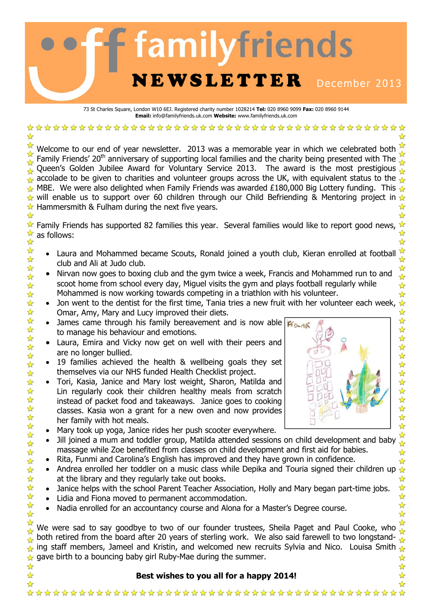# familyfriends NEWSLETTER December 2013

73 St Charles Square, London W10 6EJ. Registered charity number 1028214 **Tel:** 020 8960 9099 **Fax:** 020 8960 9144 **Email:** info@familyfriends.uk.com **Website:** www.familyfriends.uk.com

Welcome to our end of year newsletter. 2013 was a memorable year in which we celebrated both Family Friends' 20<sup>th</sup> anniversary of supporting local families and the charity being presented with The Queen's Golden Jubilee Award for Voluntary Service 2013. The award is the most prestigious accolade to be given to charities and volunteer groups across the UK, with equivalent status to the MBE. We were also delighted when Family Friends was awarded £180,000 Big Lottery funding. This will enable us to support over 60 children through our Child Befriending & Mentoring project in  $\star$  $\star$  Hammersmith & Fulham during the next five years.

Family Friends has supported 82 families this year. Several families would like to report good news, ☆ as follows: ☆

- Laura and Mohammed became Scouts, Ronald joined a youth club, Kieran enrolled at football club and Ali at Judo club.
- Nirvan now goes to boxing club and the gym twice a week, Francis and Mohammed run to and scoot home from school every day, Miguel visits the gym and plays football regularly while Mohammed is now working towards competing in a triathlon with his volunteer.
- Omar, Amy, Mary and Lucy improved their diets.
- James came through his family bereavement and is now able  $|K_{\alpha,\alpha}|\|$ to manage his behaviour and emotions.
- Laura, Emira and Vicky now get on well with their peers and are no longer bullied.
- 19 families achieved the health & wellbeing goals they set themselves via our NHS funded Health Checklist project.

☆☆☆☆☆☆☆☆☆☆☆☆☆☆☆☆☆☆☆☆☆☆☆☆☆☆☆☆☆☆☆☆

- Tori, Kasia, Janice and Mary lost weight, Sharon, Matilda and Lin regularly cook their children healthy meals from scratch instead of packet food and takeaways. Janice goes to cooking classes. Kasia won a grant for a new oven and now provides her family with hot meals.
- Mary took up yoga, Janice rides her push scooter everywhere.
- Jill joined a mum and toddler group, Matilda attended sessions on child development and baby massage while Zoe benefited from classes on child development and first aid for babies.
- Rita, Funmi and Carolina's English has improved and they have grown in confidence.
- Andrea enrolled her toddler on a music class while Depika and Touria signed their children up  $\triangle$ at the library and they regularly take out books. ☆  $\frac{1}{\sqrt{2}}$
- Janice helps with the school Parent Teacher Association, Holly and Mary began part-time jobs.
- Lidia and Fiona moved to permanent accommodation.
- Nadia enrolled for an accountancy course and Alona for a Master's Degree course.

☆ We were sad to say goodbye to two of our founder trustees, Sheila Paget and Paul Cooke, who both retired from the board after 20 years of sterling work. We also said farewell to two longstanding staff members, Jameel and Kristin, and welcomed new recruits Sylvia and Nico. Louisa Smith  $\frac{1}{\sqrt{2}}$  $\rightarrow$  gave birth to a bouncing baby girl Ruby-Mae during the summer.

#### **Best wishes to you all for a happy 2014!**



ଧ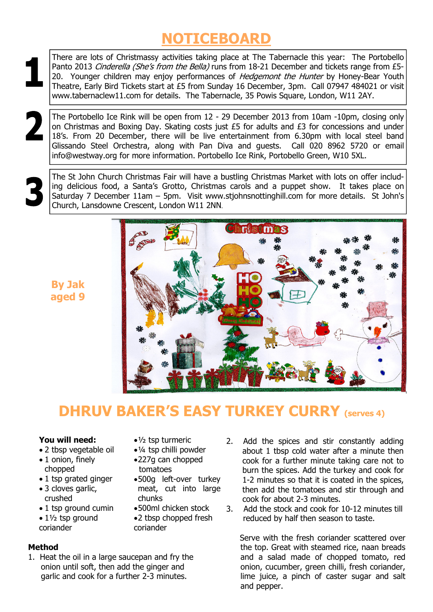## **NOTICEBOARD**

There are lots of Christmassy activities taking place at The Tabernacle this year: The Portobello Panto 2013 Cinderella (She's from the Bella) runs from 18-21 December and tickets range from £5-20. Younger children may enjoy performances of Hedgemont the Hunter by Honey-Bear Youth Theatre, Early Bird Tickets start at £5 from Sunday 16 December, 3pm. Call 07947 484021 or visit www.tabernaclew11.com for details. The Tabernacle, 35 Powis Square, London, W11 2AY.

The Portobello Ice Rink will be open from 12 - 29 December 2013 from 10am -10pm, closing only on Christmas and Boxing Day. Skating costs just £5 for adults and £3 for concessions and under 18's. From 20 December, there will be live entertainment from 6.30pm with local steel band Glissando Steel Orchestra, along with Pan Diva and guests. Call 020 8962 5720 or email info@westway.org for more information. Portobello Ice Rink, Portobello Green, W10 5XL.

The St John Church Christmas Fair will have a bustling Christmas Market with lots on offer including delicious food, a Santa's Grotto, Christmas carols and a puppet show. It takes place on Saturday 7 December 11am – 5pm. Visit www.stjohnsnottinghill.com for more details. St John's Church, Lansdowne Crescent, London W11 2NN.





## **DHRUV BAKER'S EASY TURKEY CURRY (serves 4)**

 $•\frac{1}{2}$  tsp turmeric • ¼ tsp chilli powder • 227g can chopped

• 500g left-over turkey meat, cut into large

• 500ml chicken stock • 2 tbsp chopped fresh

tomatoes

chunks

coriander

#### **You will need:**

- 2 tbsp vegetable oil
- 1 onion, finely chopped
- 1 tsp grated ginger
- 3 cloves garlic, crushed
- 1 tsp ground cumin
- $\bullet$  1 $\frac{1}{2}$  tsp ground coriander

#### **Method**

- 1. Heat the oil in a large saucepan and fry the onion until soft, then add the ginger and garlic and cook for a further 2-3 minutes.
- 2. Add the spices and stir constantly adding about 1 tbsp cold water after a minute then cook for a further minute taking care not to burn the spices. Add the turkey and cook for 1-2 minutes so that it is coated in the spices, then add the tomatoes and stir through and cook for about 2-3 minutes.
- 3. Add the stock and cook for 10-12 minutes till reduced by half then season to taste.

 Serve with the fresh coriander scattered over the top. Great with steamed rice, naan breads and a salad made of chopped tomato, red onion, cucumber, green chilli, fresh coriander, lime juice, a pinch of caster sugar and salt and pepper.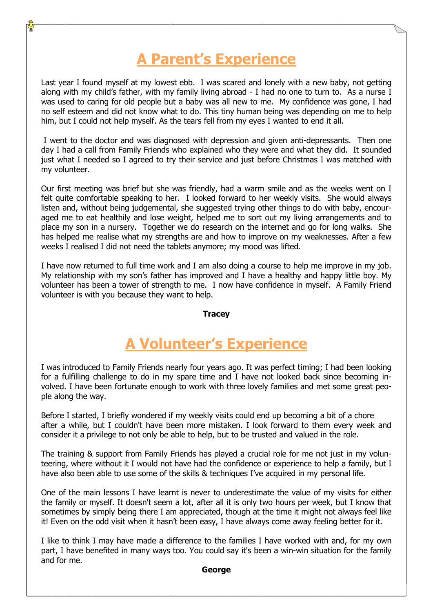## **A Parent's Experience**

Last year I found myself at my lowest ebb. I was scared and lonely with a new baby, not getting along with my child's father, with my family living abroad - I had no one to turn to. As a nurse I was used to caring for old people but a baby was all new to me. My confidence was gone, I had no self esteem and did not know what to do. This tiny human being was depending on me to help him, but I could not help myself. As the tears fell from my eyes I wanted to end it all.

 I went to the doctor and was diagnosed with depression and given anti-depressants. Then one day I had a call from Family Friends who explained who they were and what they did. It sounded just what I needed so I agreed to try their service and just before Christmas I was matched with my volunteer.

Our first meeting was brief but she was friendly, had a warm smile and as the weeks went on I felt quite comfortable speaking to her. I looked forward to her weekly visits. She would always listen and, without being judgemental, she suggested trying other things to do with baby, encouraged me to eat healthily and lose weight, helped me to sort out my living arrangements and to place my son in a nursery. Together we do research on the internet and go for long walks. She has helped me realise what my strengths are and how to improve on my weaknesses. After a few weeks I realised I did not need the tablets anymore; my mood was lifted.

I have now returned to full time work and I am also doing a course to help me improve in my job. My relationship with my son's father has improved and I have a healthy and happy little boy. My volunteer has been a tower of strength to me. I now have confidence in myself. A Family Friend volunteer is with you because they want to help.

#### **Tracey**

## **A Volunteer's Experience**

I was introduced to Family Friends nearly four years ago. It was perfect timing; I had been looking for a fulfilling challenge to do in my spare time and I have not looked back since becoming involved. I have been fortunate enough to work with three lovely families and met some great people along the way.

Before I started, I briefly wondered if my weekly visits could end up becoming a bit of a chore after a while, but I couldn't have been more mistaken. I look forward to them every week and consider it a privilege to not only be able to help, but to be trusted and valued in the role.

The training & support from Family Friends has played a crucial role for me not just in my volunteering, where without it I would not have had the confidence or experience to help a family, but I have also been able to use some of the skills & techniques I've acquired in my personal life.

One of the main lessons I have learnt is never to underestimate the value of my visits for either the family or myself. It doesn't seem a lot, after all it is only two hours per week, but I know that sometimes by simply being there I am appreciated, though at the time it might not always feel like it! Even on the odd visit when it hasn't been easy, I have always come away feeling better for it.

I like to think I may have made a difference to the families I have worked with and, for my own part, I have benefited in many ways too. You could say it's been a win-win situation for the family and for me.